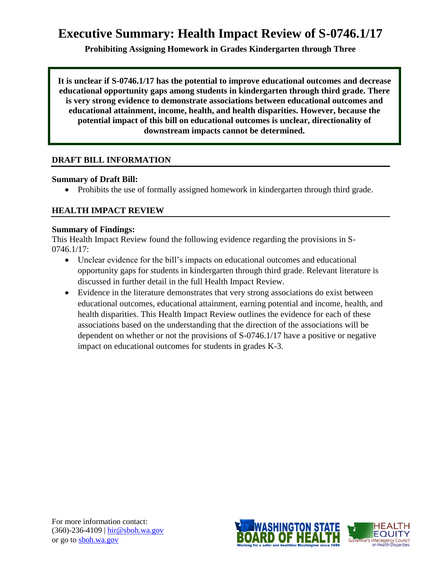# **Executive Summary: Health Impact Review of S-0746.1/17**

**Prohibiting Assigning Homework in Grades Kindergarten through Three** 

**It is unclear if S-0746.1/17 has the potential to improve educational outcomes and decrease educational opportunity gaps among students in kindergarten through third grade. There is very strong evidence to demonstrate associations between educational outcomes and educational attainment, income, health, and health disparities. However, because the potential impact of this bill on educational outcomes is unclear, directionality of downstream impacts cannot be determined.**

## **DRAFT BILL INFORMATION**

#### **Summary of Draft Bill:**

• Prohibits the use of formally assigned homework in kindergarten through third grade.

#### **HEALTH IMPACT REVIEW**

#### **Summary of Findings:**

This Health Impact Review found the following evidence regarding the provisions in S-0746.1/17:

- Unclear evidence for the bill's impacts on educational outcomes and educational opportunity gaps for students in kindergarten through third grade. Relevant literature is discussed in further detail in the full Health Impact Review.
- Evidence in the literature demonstrates that very strong associations do exist between educational outcomes, educational attainment, earning potential and income, health, and health disparities. This Health Impact Review outlines the evidence for each of these associations based on the understanding that the direction of the associations will be dependent on whether or not the provisions of S-0746.1/17 have a positive or negative impact on educational outcomes for students in grades K-3.

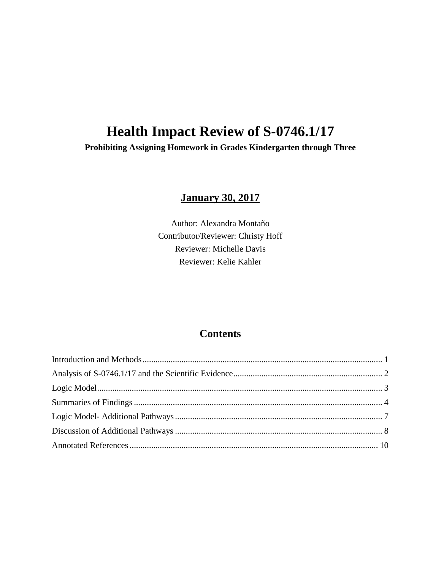# **Health Impact Review of S-0746.1/17**

**Prohibiting Assigning Homework in Grades Kindergarten through Three**

# **January 30, 2017**

Author: Alexandra Montaño Contributor/Reviewer: Christy Hoff Reviewer: Michelle Davis Reviewer: Kelie Kahler

## **Contents**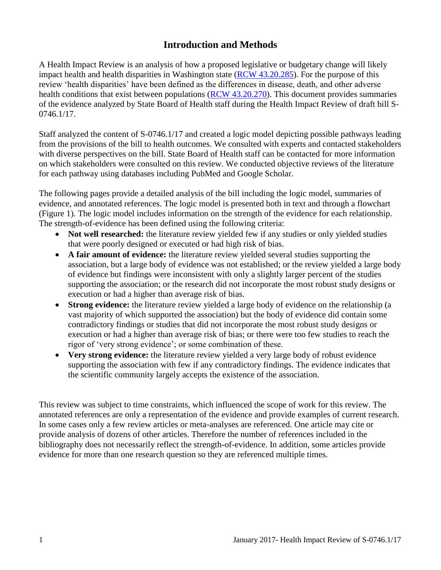# **Introduction and Methods**

<span id="page-2-0"></span>A Health Impact Review is an analysis of how a proposed legislative or budgetary change will likely impact health and health disparities in Washington state [\(RCW 43.20.285\)](http://apps.leg.wa.gov/rcw/default.aspx?cite=43.20.285). For the purpose of this review 'health disparities' have been defined as the differences in disease, death, and other adverse health conditions that exist between populations [\(RCW 43.20.270\)](http://apps.leg.wa.gov/rcw/default.aspx?cite=43.20.270). This document provides summaries of the evidence analyzed by State Board of Health staff during the Health Impact Review of draft bill S-0746.1/17.

Staff analyzed the content of S-0746.1/17 and created a logic model depicting possible pathways leading from the provisions of the bill to health outcomes. We consulted with experts and contacted stakeholders with diverse perspectives on the bill. State Board of Health staff can be contacted for more information on which stakeholders were consulted on this review. We conducted objective reviews of the literature for each pathway using databases including PubMed and Google Scholar.

The following pages provide a detailed analysis of the bill including the logic model, summaries of evidence, and annotated references. The logic model is presented both in text and through a flowchart (Figure 1). The logic model includes information on the strength of the evidence for each relationship. The strength-of-evidence has been defined using the following criteria:

- Not well researched: the literature review yielded few if any studies or only yielded studies that were poorly designed or executed or had high risk of bias.
- **A fair amount of evidence:** the literature review yielded several studies supporting the association, but a large body of evidence was not established; or the review yielded a large body of evidence but findings were inconsistent with only a slightly larger percent of the studies supporting the association; or the research did not incorporate the most robust study designs or execution or had a higher than average risk of bias.
- **Strong evidence:** the literature review yielded a large body of evidence on the relationship (a vast majority of which supported the association) but the body of evidence did contain some contradictory findings or studies that did not incorporate the most robust study designs or execution or had a higher than average risk of bias; or there were too few studies to reach the rigor of 'very strong evidence'; or some combination of these.
- **Very strong evidence:** the literature review yielded a very large body of robust evidence supporting the association with few if any contradictory findings. The evidence indicates that the scientific community largely accepts the existence of the association.

This review was subject to time constraints, which influenced the scope of work for this review. The annotated references are only a representation of the evidence and provide examples of current research. In some cases only a few review articles or meta-analyses are referenced. One article may cite or provide analysis of dozens of other articles. Therefore the number of references included in the bibliography does not necessarily reflect the strength-of-evidence. In addition, some articles provide evidence for more than one research question so they are referenced multiple times.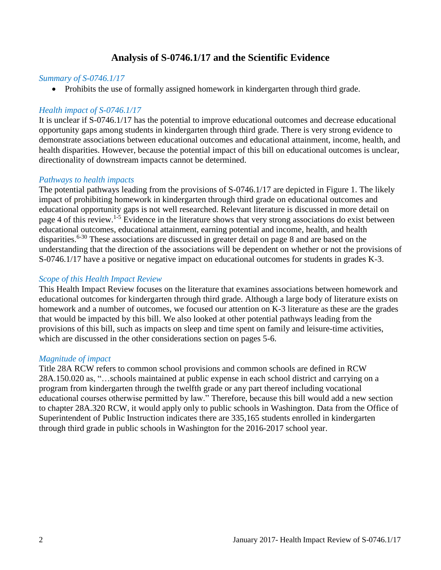## **Analysis of S-0746.1/17 and the Scientific Evidence**

#### <span id="page-3-0"></span>*Summary of S-0746.1/17*

• Prohibits the use of formally assigned homework in kindergarten through third grade.

#### *Health impact of S-0746.1/17*

It is unclear if S-0746.1/17 has the potential to improve educational outcomes and decrease educational opportunity gaps among students in kindergarten through third grade. There is very strong evidence to demonstrate associations between educational outcomes and educational attainment, income, health, and health disparities. However, because the potential impact of this bill on educational outcomes is unclear, directionality of downstream impacts cannot be determined.

#### *Pathways to health impacts*

The potential pathways leading from the provisions of S-0746.1/17 are depicted in Figure 1. The likely impact of prohibiting homework in kindergarten through third grade on educational outcomes and educational opportunity gaps is not well researched. Relevant literature is discussed in more detail on page 4 of this review.1-5 Evidence in the literature shows that very strong associations do exist between educational outcomes, educational attainment, earning potential and income, health, and health disparities.<sup>6-30</sup> These associations are discussed in greater detail on page 8 and are based on the understanding that the direction of the associations will be dependent on whether or not the provisions of S-0746.1/17 have a positive or negative impact on educational outcomes for students in grades K-3.

#### *Scope of this Health Impact Review*

This Health Impact Review focuses on the literature that examines associations between homework and educational outcomes for kindergarten through third grade. Although a large body of literature exists on homework and a number of outcomes, we focused our attention on K-3 literature as these are the grades that would be impacted by this bill. We also looked at other potential pathways leading from the provisions of this bill, such as impacts on sleep and time spent on family and leisure-time activities, which are discussed in the other considerations section on pages 5-6.

#### *Magnitude of impact*

Title 28A RCW refers to common school provisions and common schools are defined in RCW 28A.150.020 as, "…schools maintained at public expense in each school district and carrying on a program from kindergarten through the twelfth grade or any part thereof including vocational educational courses otherwise permitted by law." Therefore, because this bill would add a new section to chapter 28A.320 RCW, it would apply only to public schools in Washington. Data from the Office of Superintendent of Public Instruction indicates there are 335,165 students enrolled in kindergarten through third grade in public schools in Washington for the 2016-2017 school year.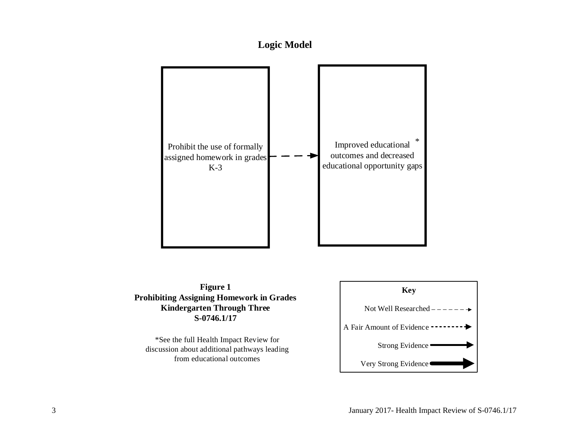



<span id="page-4-0"></span>**Figure 1 Prohibiting Assigning Homework in Grades Kindergarten Through Three S-0746.1/17**

\*See the full Health Impact Review for discussion about additional pathways leading from educational outcomes

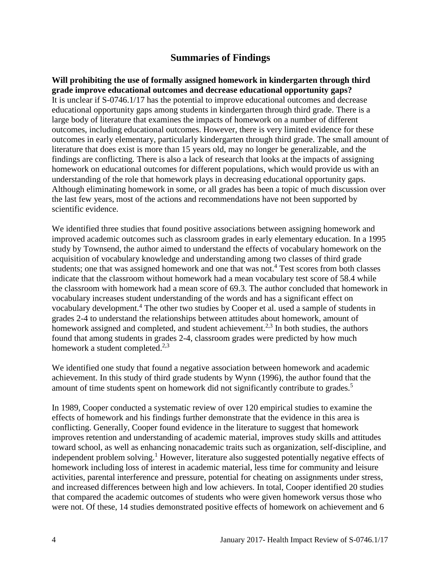## **Summaries of Findings**

<span id="page-5-0"></span>**Will prohibiting the use of formally assigned homework in kindergarten through third grade improve educational outcomes and decrease educational opportunity gaps?** It is unclear if S-0746.1/17 has the potential to improve educational outcomes and decrease educational opportunity gaps among students in kindergarten through third grade. There is a large body of literature that examines the impacts of homework on a number of different outcomes, including educational outcomes. However, there is very limited evidence for these outcomes in early elementary, particularly kindergarten through third grade. The small amount of literature that does exist is more than 15 years old, may no longer be generalizable, and the findings are conflicting. There is also a lack of research that looks at the impacts of assigning homework on educational outcomes for different populations, which would provide us with an understanding of the role that homework plays in decreasing educational opportunity gaps. Although eliminating homework in some, or all grades has been a topic of much discussion over the last few years, most of the actions and recommendations have not been supported by scientific evidence.

We identified three studies that found positive associations between assigning homework and improved academic outcomes such as classroom grades in early elementary education. In a 1995 study by Townsend, the author aimed to understand the effects of vocabulary homework on the acquisition of vocabulary knowledge and understanding among two classes of third grade students; one that was assigned homework and one that was not. <sup>4</sup> Test scores from both classes indicate that the classroom without homework had a mean vocabulary test score of 58.4 while the classroom with homework had a mean score of 69.3. The author concluded that homework in vocabulary increases student understanding of the words and has a significant effect on vocabulary development.<sup>4</sup> The other two studies by Cooper et al. used a sample of students in grades 2-4 to understand the relationships between attitudes about homework, amount of homework assigned and completed, and student achievement.<sup>2,3</sup> In both studies, the authors found that among students in grades 2-4, classroom grades were predicted by how much homework a student completed.<sup>2,3</sup>

We identified one study that found a negative association between homework and academic achievement. In this study of third grade students by Wynn (1996), the author found that the amount of time students spent on homework did not significantly contribute to grades.<sup>5</sup>

In 1989, Cooper conducted a systematic review of over 120 empirical studies to examine the effects of homework and his findings further demonstrate that the evidence in this area is conflicting. Generally, Cooper found evidence in the literature to suggest that homework improves retention and understanding of academic material, improves study skills and attitudes toward school, as well as enhancing nonacademic traits such as organization, self-discipline, and independent problem solving.<sup>1</sup> However, literature also suggested potentially negative effects of homework including loss of interest in academic material, less time for community and leisure activities, parental interference and pressure, potential for cheating on assignments under stress, and increased differences between high and low achievers. In total, Cooper identified 20 studies that compared the academic outcomes of students who were given homework versus those who were not. Of these, 14 studies demonstrated positive effects of homework on achievement and 6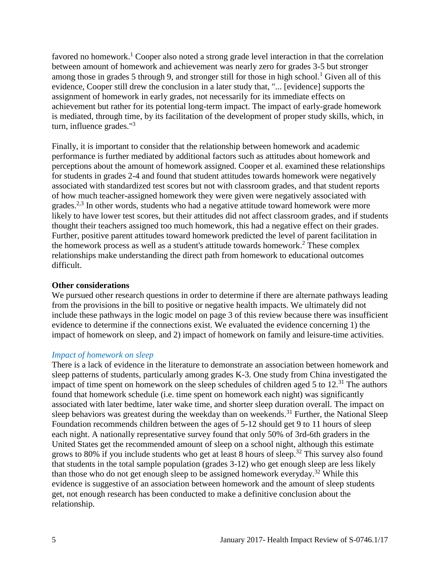favored no homework.<sup>1</sup> Cooper also noted a strong grade level interaction in that the correlation between amount of homework and achievement was nearly zero for grades 3-5 but stronger among those in grades 5 through 9, and stronger still for those in high school.<sup>1</sup> Given all of this evidence, Cooper still drew the conclusion in a later study that, "... [evidence] supports the assignment of homework in early grades, not necessarily for its immediate effects on achievement but rather for its potential long-term impact. The impact of early-grade homework is mediated, through time, by its facilitation of the development of proper study skills, which, in turn, influence grades."<sup>3</sup>

Finally, it is important to consider that the relationship between homework and academic performance is further mediated by additional factors such as attitudes about homework and perceptions about the amount of homework assigned. Cooper et al. examined these relationships for students in grades 2-4 and found that student attitudes towards homework were negatively associated with standardized test scores but not with classroom grades, and that student reports of how much teacher-assigned homework they were given were negatively associated with grades.<sup>2,3</sup> In other words, students who had a negative attitude toward homework were more likely to have lower test scores, but their attitudes did not affect classroom grades, and if students thought their teachers assigned too much homework, this had a negative effect on their grades. Further, positive parent attitudes toward homework predicted the level of parent facilitation in the homework process as well as a student's attitude towards homework.<sup>2</sup> These complex relationships make understanding the direct path from homework to educational outcomes difficult.

#### **Other considerations**

We pursued other research questions in order to determine if there are alternate pathways leading from the provisions in the bill to positive or negative health impacts. We ultimately did not include these pathways in the logic model on page 3 of this review because there was insufficient evidence to determine if the connections exist. We evaluated the evidence concerning 1) the impact of homework on sleep, and 2) impact of homework on family and leisure-time activities.

#### *Impact of homework on sleep*

There is a lack of evidence in the literature to demonstrate an association between homework and sleep patterns of students, particularly among grades K-3. One study from China investigated the impact of time spent on homework on the sleep schedules of children aged 5 to 12.<sup>31</sup> The authors found that homework schedule (i.e. time spent on homework each night) was significantly associated with later bedtime, later wake time, and shorter sleep duration overall. The impact on sleep behaviors was greatest during the weekday than on weekends.<sup>31</sup> Further, the National Sleep Foundation recommends children between the ages of 5-12 should get 9 to 11 hours of sleep each night. A nationally representative survey found that only 50% of 3rd-6th graders in the United States get the recommended amount of sleep on a school night, although this estimate grows to 80% if you include students who get at least 8 hours of sleep.<sup>32</sup> This survey also found that students in the total sample population (grades 3-12) who get enough sleep are less likely than those who do not get enough sleep to be assigned homework everyday.<sup>32</sup> While this evidence is suggestive of an association between homework and the amount of sleep students get, not enough research has been conducted to make a definitive conclusion about the relationship.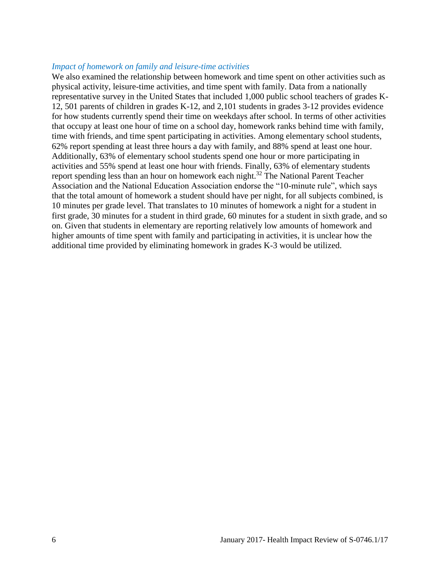#### *Impact of homework on family and leisure-time activities*

We also examined the relationship between homework and time spent on other activities such as physical activity, leisure-time activities, and time spent with family. Data from a nationally representative survey in the United States that included 1,000 public school teachers of grades K-12, 501 parents of children in grades K-12, and 2,101 students in grades 3-12 provides evidence for how students currently spend their time on weekdays after school. In terms of other activities that occupy at least one hour of time on a school day, homework ranks behind time with family, time with friends, and time spent participating in activities. Among elementary school students, 62% report spending at least three hours a day with family, and 88% spend at least one hour. Additionally, 63% of elementary school students spend one hour or more participating in activities and 55% spend at least one hour with friends. Finally, 63% of elementary students report spending less than an hour on homework each night.<sup>32</sup> The National Parent Teacher Association and the National Education Association endorse the "10-minute rule", which says that the total amount of homework a student should have per night, for all subjects combined, is 10 minutes per grade level. That translates to 10 minutes of homework a night for a student in first grade, 30 minutes for a student in third grade, 60 minutes for a student in sixth grade, and so on. Given that students in elementary are reporting relatively low amounts of homework and higher amounts of time spent with family and participating in activities, it is unclear how the additional time provided by eliminating homework in grades K-3 would be utilized.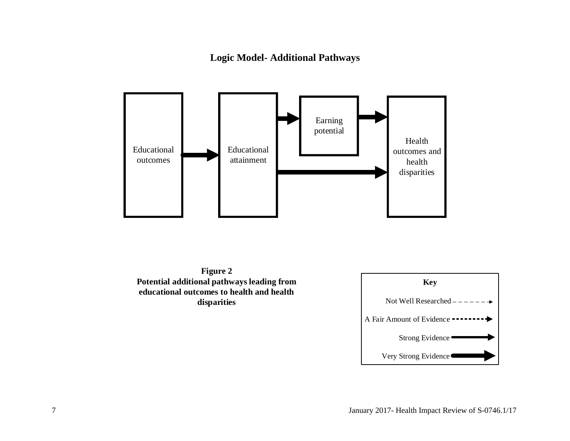**Logic Model- Additional Pathways**



**Figure 2 Potential additional pathways leading from educational outcomes to health and health disparities**

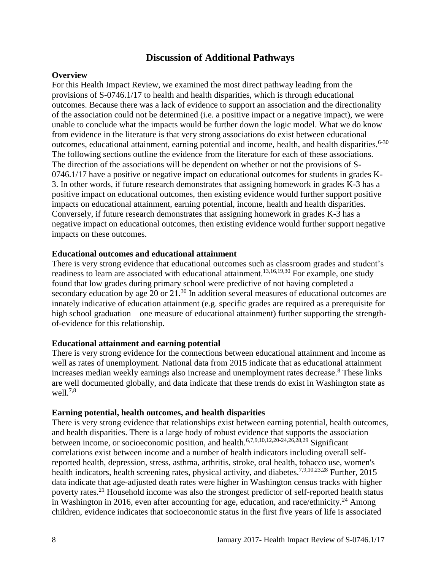#### **Discussion of Additional Pathways**

#### **Overview**

For this Health Impact Review, we examined the most direct pathway leading from the provisions of S-0746.1/17 to health and health disparities, which is through educational outcomes. Because there was a lack of evidence to support an association and the directionality of the association could not be determined (i.e. a positive impact or a negative impact), we were unable to conclude what the impacts would be further down the logic model. What we do know from evidence in the literature is that very strong associations do exist between educational outcomes, educational attainment, earning potential and income, health, and health disparities.<sup>6-30</sup> The following sections outline the evidence from the literature for each of these associations. The direction of the associations will be dependent on whether or not the provisions of S-0746.1/17 have a positive or negative impact on educational outcomes for students in grades K-3. In other words, if future research demonstrates that assigning homework in grades K-3 has a positive impact on educational outcomes, then existing evidence would further support positive impacts on educational attainment, earning potential, income, health and health disparities. Conversely, if future research demonstrates that assigning homework in grades K-3 has a negative impact on educational outcomes, then existing evidence would further support negative impacts on these outcomes.

#### **Educational outcomes and educational attainment**

There is very strong evidence that educational outcomes such as classroom grades and student's readiness to learn are associated with educational attainment.13,16,19,30 For example, one study found that low grades during primary school were predictive of not having completed a secondary education by age 20 or 21.<sup>30</sup> In addition several measures of educational outcomes are innately indicative of education attainment (e.g. specific grades are required as a prerequisite for high school graduation—one measure of educational attainment) further supporting the strengthof-evidence for this relationship.

#### **Educational attainment and earning potential**

There is very strong evidence for the connections between educational attainment and income as well as rates of unemployment. National data from 2015 indicate that as educational attainment increases median weekly earnings also increase and unemployment rates decrease.<sup>8</sup> These links are well documented globally, and data indicate that these trends do exist in Washington state as well. $7,8$ 

#### **Earning potential, health outcomes, and health disparities**

There is very strong evidence that relationships exist between earning potential, health outcomes, and health disparities. There is a large body of robust evidence that supports the association between income, or socioeconomic position, and health.<sup>6,7,9,10,12,20-24,26,28,29</sup> Significant correlations exist between income and a number of health indicators including overall selfreported health, depression, stress, asthma, arthritis, stroke, oral health, tobacco use, women's health indicators, health screening rates, physical activity, and diabetes.<sup>7,9,10,23,28</sup> Further, 2015 data indicate that age-adjusted death rates were higher in Washington census tracks with higher poverty rates.<sup>21</sup> Household income was also the strongest predictor of self-reported health status in Washington in 2016, even after accounting for age, education, and race/ethnicity.<sup>24</sup> Among children, evidence indicates that socioeconomic status in the first five years of life is associated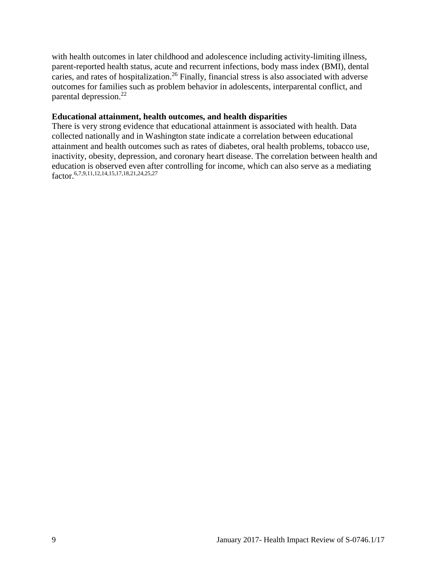with health outcomes in later childhood and adolescence including activity-limiting illness, parent-reported health status, acute and recurrent infections, body mass index (BMI), dental caries, and rates of hospitalization.<sup>26</sup> Finally, financial stress is also associated with adverse outcomes for families such as problem behavior in adolescents, interparental conflict, and parental depression.<sup>22</sup>

#### **Educational attainment, health outcomes, and health disparities**

There is very strong evidence that educational attainment is associated with health. Data collected nationally and in Washington state indicate a correlation between educational attainment and health outcomes such as rates of diabetes, oral health problems, tobacco use, inactivity, obesity, depression, and coronary heart disease. The correlation between health and education is observed even after controlling for income, which can also serve as a mediating factor. 6,7,9,11,12,14,15,17,18,21,24,25,27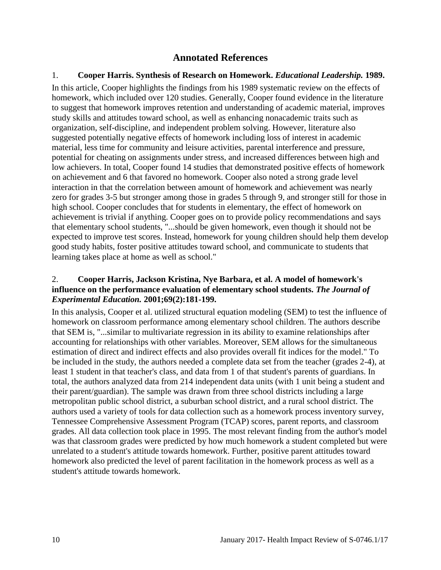## **Annotated References**

#### 1. **Cooper Harris. Synthesis of Research on Homework.** *Educational Leadership.* **1989.**

In this article, Cooper highlights the findings from his 1989 systematic review on the effects of homework, which included over 120 studies. Generally, Cooper found evidence in the literature to suggest that homework improves retention and understanding of academic material, improves study skills and attitudes toward school, as well as enhancing nonacademic traits such as organization, self-discipline, and independent problem solving. However, literature also suggested potentially negative effects of homework including loss of interest in academic material, less time for community and leisure activities, parental interference and pressure, potential for cheating on assignments under stress, and increased differences between high and low achievers. In total, Cooper found 14 studies that demonstrated positive effects of homework on achievement and 6 that favored no homework. Cooper also noted a strong grade level interaction in that the correlation between amount of homework and achievement was nearly zero for grades 3-5 but stronger among those in grades 5 through 9, and stronger still for those in high school. Cooper concludes that for students in elementary, the effect of homework on achievement is trivial if anything. Cooper goes on to provide policy recommendations and says that elementary school students, "...should be given homework, even though it should not be expected to improve test scores. Instead, homework for young children should help them develop good study habits, foster positive attitudes toward school, and communicate to students that learning takes place at home as well as school."

#### 2. **Cooper Harris, Jackson Kristina, Nye Barbara, et al. A model of homework's influence on the performance evaluation of elementary school students.** *The Journal of Experimental Education.* **2001;69(2):181-199.**

In this analysis, Cooper et al. utilized structural equation modeling (SEM) to test the influence of homework on classroom performance among elementary school children. The authors describe that SEM is, "...similar to multivariate regression in its ability to examine relationships after accounting for relationships with other variables. Moreover, SEM allows for the simultaneous estimation of direct and indirect effects and also provides overall fit indices for the model." To be included in the study, the authors needed a complete data set from the teacher (grades 2-4), at least 1 student in that teacher's class, and data from 1 of that student's parents of guardians. In total, the authors analyzed data from 214 independent data units (with 1 unit being a student and their parent/guardian). The sample was drawn from three school districts including a large metropolitan public school district, a suburban school district, and a rural school district. The authors used a variety of tools for data collection such as a homework process inventory survey, Tennessee Comprehensive Assessment Program (TCAP) scores, parent reports, and classroom grades. All data collection took place in 1995. The most relevant finding from the author's model was that classroom grades were predicted by how much homework a student completed but were unrelated to a student's attitude towards homework. Further, positive parent attitudes toward homework also predicted the level of parent facilitation in the homework process as well as a student's attitude towards homework.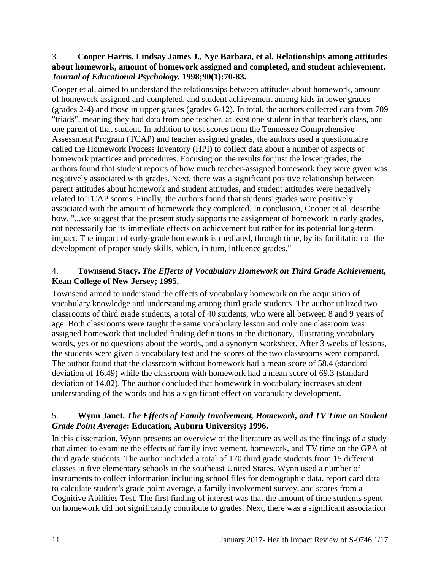#### 3. **Cooper Harris, Lindsay James J., Nye Barbara, et al. Relationships among attitudes about homework, amount of homework assigned and completed, and student achievement.**  *Journal of Educational Psychology.* **1998;90(1):70-83.**

Cooper et al. aimed to understand the relationships between attitudes about homework, amount of homework assigned and completed, and student achievement among kids in lower grades (grades 2-4) and those in upper grades (grades 6-12). In total, the authors collected data from 709 "triads", meaning they had data from one teacher, at least one student in that teacher's class, and one parent of that student. In addition to test scores from the Tennessee Comprehensive Assessment Program (TCAP) and teacher assigned grades, the authors used a questionnaire called the Homework Process Inventory (HPI) to collect data about a number of aspects of homework practices and procedures. Focusing on the results for just the lower grades, the authors found that student reports of how much teacher-assigned homework they were given was negatively associated with grades. Next, there was a significant positive relationship between parent attitudes about homework and student attitudes, and student attitudes were negatively related to TCAP scores. Finally, the authors found that students' grades were positively associated with the amount of homework they completed. In conclusion, Cooper et al. describe how, "...we suggest that the present study supports the assignment of homework in early grades, not necessarily for its immediate effects on achievement but rather for its potential long-term impact. The impact of early-grade homework is mediated, through time, by its facilitation of the development of proper study skills, which, in turn, influence grades."

## 4. **Townsend Stacy.** *The Effects of Vocabulary Homework on Third Grade Achievement***, Kean College of New Jersey; 1995.**

Townsend aimed to understand the effects of vocabulary homework on the acquisition of vocabulary knowledge and understanding among third grade students. The author utilized two classrooms of third grade students, a total of 40 students, who were all between 8 and 9 years of age. Both classrooms were taught the same vocabulary lesson and only one classroom was assigned homework that included finding definitions in the dictionary, illustrating vocabulary words, yes or no questions about the words, and a synonym worksheet. After 3 weeks of lessons, the students were given a vocabulary test and the scores of the two classrooms were compared. The author found that the classroom without homework had a mean score of 58.4 (standard deviation of 16.49) while the classroom with homework had a mean score of 69.3 (standard deviation of 14.02). The author concluded that homework in vocabulary increases student understanding of the words and has a significant effect on vocabulary development.

#### 5. **Wynn Janet.** *The Effects of Family Involvement, Homework, and TV Time on Student Grade Point Average***: Education, Auburn University; 1996.**

In this dissertation, Wynn presents an overview of the literature as well as the findings of a study that aimed to examine the effects of family involvement, homework, and TV time on the GPA of third grade students. The author included a total of 170 third grade students from 15 different classes in five elementary schools in the southeast United States. Wynn used a number of instruments to collect information including school files for demographic data, report card data to calculate student's grade point average, a family involvement survey, and scores from a Cognitive Abilities Test. The first finding of interest was that the amount of time students spent on homework did not significantly contribute to grades. Next, there was a significant association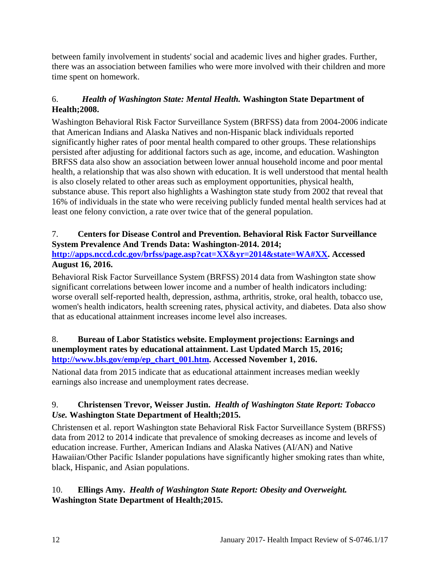between family involvement in students' social and academic lives and higher grades. Further, there was an association between families who were more involved with their children and more time spent on homework.

## 6.*Health of Washington State: Mental Health.* **Washington State Department of Health;2008.**

Washington Behavioral Risk Factor Surveillance System (BRFSS) data from 2004-2006 indicate that American Indians and Alaska Natives and non-Hispanic black individuals reported significantly higher rates of poor mental health compared to other groups. These relationships persisted after adjusting for additional factors such as age, income, and education. Washington BRFSS data also show an association between lower annual household income and poor mental health, a relationship that was also shown with education. It is well understood that mental health is also closely related to other areas such as employment opportunities, physical health, substance abuse. This report also highlights a Washington state study from 2002 that reveal that 16% of individuals in the state who were receiving publicly funded mental health services had at least one felony conviction, a rate over twice that of the general population.

## 7. **Centers for Disease Control and Prevention. Behavioral Risk Factor Surveillance System Prevalence And Trends Data: Washington-2014. 2014;**

#### **[http://apps.nccd.cdc.gov/brfss/page.asp?cat=XX&yr=2014&state=WA#XX.](http://apps.nccd.cdc.gov/brfss/page.asp?cat=XX&yr=2014&state=WA#XX) Accessed August 16, 2016.**

Behavioral Risk Factor Surveillance System (BRFSS) 2014 data from Washington state show significant correlations between lower income and a number of health indicators including: worse overall self-reported health, depression, asthma, arthritis, stroke, oral health, tobacco use, women's health indicators, health screening rates, physical activity, and diabetes. Data also show that as educational attainment increases income level also increases.

#### 8. **Bureau of Labor Statistics website. Employment projections: Earnings and unemployment rates by educational attainment. Last Updated March 15, 2016; [http://www.bls.gov/emp/ep\\_chart\\_001.htm.](http://www.bls.gov/emp/ep_chart_001.htm) Accessed November 1, 2016.**

National data from 2015 indicate that as educational attainment increases median weekly earnings also increase and unemployment rates decrease.

## 9. **Christensen Trevor, Weisser Justin.** *Health of Washington State Report: Tobacco Use.* **Washington State Department of Health;2015.**

Christensen et al. report Washington state Behavioral Risk Factor Surveillance System (BRFSS) data from 2012 to 2014 indicate that prevalence of smoking decreases as income and levels of education increase. Further, American Indians and Alaska Natives (AI/AN) and Native Hawaiian/Other Pacific Islander populations have significantly higher smoking rates than white, black, Hispanic, and Asian populations.

## 10. **Ellings Amy.** *Health of Washington State Report: Obesity and Overweight.* **Washington State Department of Health;2015.**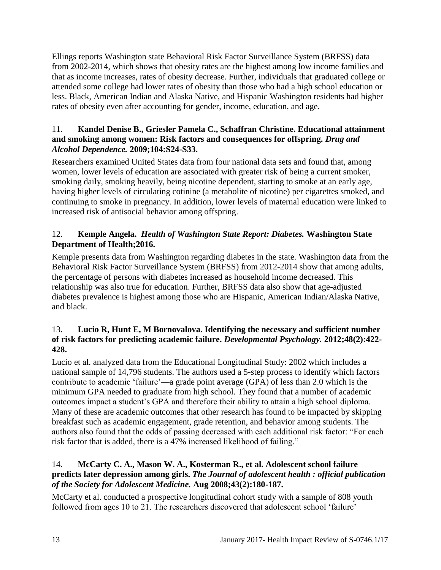Ellings reports Washington state Behavioral Risk Factor Surveillance System (BRFSS) data from 2002-2014, which shows that obesity rates are the highest among low income families and that as income increases, rates of obesity decrease. Further, individuals that graduated college or attended some college had lower rates of obesity than those who had a high school education or less. Black, American Indian and Alaska Native, and Hispanic Washington residents had higher rates of obesity even after accounting for gender, income, education, and age.

#### 11. **Kandel Denise B., Griesler Pamela C., Schaffran Christine. Educational attainment and smoking among women: Risk factors and consequences for offspring.** *Drug and Alcohol Dependence.* **2009;104:S24-S33.**

Researchers examined United States data from four national data sets and found that, among women, lower levels of education are associated with greater risk of being a current smoker, smoking daily, smoking heavily, being nicotine dependent, starting to smoke at an early age, having higher levels of circulating cotinine (a metabolite of nicotine) per cigarettes smoked, and continuing to smoke in pregnancy. In addition, lower levels of maternal education were linked to increased risk of antisocial behavior among offspring.

## 12. **Kemple Angela.** *Health of Washington State Report: Diabetes.* **Washington State Department of Health;2016.**

Kemple presents data from Washington regarding diabetes in the state. Washington data from the Behavioral Risk Factor Surveillance System (BRFSS) from 2012-2014 show that among adults, the percentage of persons with diabetes increased as household income decreased. This relationship was also true for education. Further, BRFSS data also show that age-adjusted diabetes prevalence is highest among those who are Hispanic, American Indian/Alaska Native, and black.

#### 13. **Lucio R, Hunt E, M Bornovalova. Identifying the necessary and sufficient number of risk factors for predicting academic failure.** *Developmental Psychology.* **2012;48(2):422- 428.**

Lucio et al. analyzed data from the Educational Longitudinal Study: 2002 which includes a national sample of 14,796 students. The authors used a 5-step process to identify which factors contribute to academic 'failure'—a grade point average (GPA) of less than 2.0 which is the minimum GPA needed to graduate from high school. They found that a number of academic outcomes impact a student's GPA and therefore their ability to attain a high school diploma. Many of these are academic outcomes that other research has found to be impacted by skipping breakfast such as academic engagement, grade retention, and behavior among students. The authors also found that the odds of passing decreased with each additional risk factor: "For each risk factor that is added, there is a 47% increased likelihood of failing."

#### 14. **McCarty C. A., Mason W. A., Kosterman R., et al. Adolescent school failure predicts later depression among girls.** *The Journal of adolescent health : official publication of the Society for Adolescent Medicine.* **Aug 2008;43(2):180-187.**

McCarty et al. conducted a prospective longitudinal cohort study with a sample of 808 youth followed from ages 10 to 21. The researchers discovered that adolescent school 'failure'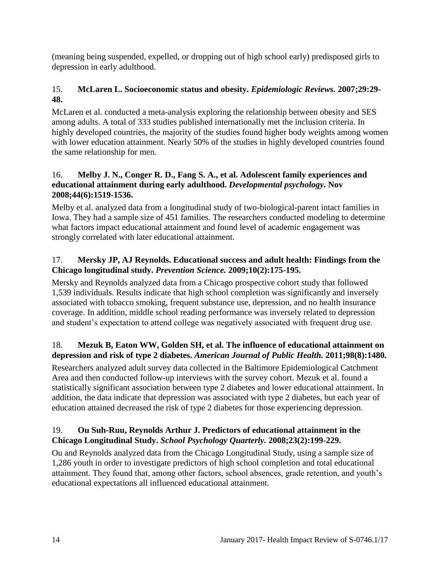(meaning being suspended, expelled, or dropping out of high school early) predisposed girls to depression in early adulthood.

## 15. **McLaren L. Socioeconomic status and obesity.** *Epidemiologic Reviews.* **2007;29:29- 48.**

McLaren et al. conducted a meta-analysis exploring the relationship between obesity and SES among adults. A total of 333 studies published internationally met the inclusion criteria. In highly developed countries, the majority of the studies found higher body weights among women with lower education attainment. Nearly 50% of the studies in highly developed countries found the same relationship for men.

#### 16. **Melby J. N., Conger R. D., Fang S. A., et al. Adolescent family experiences and educational attainment during early adulthood.** *Developmental psychology.* **Nov 2008;44(6):1519-1536.**

Melby et al. analyzed data from a longitudinal study of two-biological-parent intact families in Iowa. They had a sample size of 451 families. The researchers conducted modeling to determine what factors impact educational attainment and found level of academic engagement was strongly correlated with later educational attainment.

## 17. **Mersky JP, AJ Reynolds. Educational success and adult health: Findings from the Chicago longitudinal study.** *Prevention Science.* **2009;10(2):175-195.**

Mersky and Reynolds analyzed data from a Chicago prospective cohort study that followed 1,539 individuals. Results indicate that high school completion was significantly and inversely associated with tobacco smoking, frequent substance use, depression, and no health insurance coverage. In addition, middle school reading performance was inversely related to depression and student's expectation to attend college was negatively associated with frequent drug use.

## 18. **Mezuk B, Eaton WW, Golden SH, et al. The influence of educational attainment on depression and risk of type 2 diabetes.** *American Journal of Public Health.* **2011;98(8):1480.**

Researchers analyzed adult survey data collected in the Baltimore Epidemiological Catchment Area and then conducted follow-up interviews with the survey cohort. Mezuk et al. found a statistically significant association between type 2 diabetes and lower educational attainment. In addition, the data indicate that depression was associated with type 2 diabetes, but each year of education attained decreased the risk of type 2 diabetes for those experiencing depression.

## 19. **Ou Suh-Ruu, Reynolds Arthur J. Predictors of educational attainment in the Chicago Longitudinal Study.** *School Psychology Quarterly.* **2008;23(2):199-229.**

Ou and Reynolds analyzed data from the Chicago Longitudinal Study, using a sample size of 1,286 youth in order to investigate predictors of high school completion and total educational attainment. They found that, among other factors, school absences, grade retention, and youth's educational expectations all influenced educational attainment.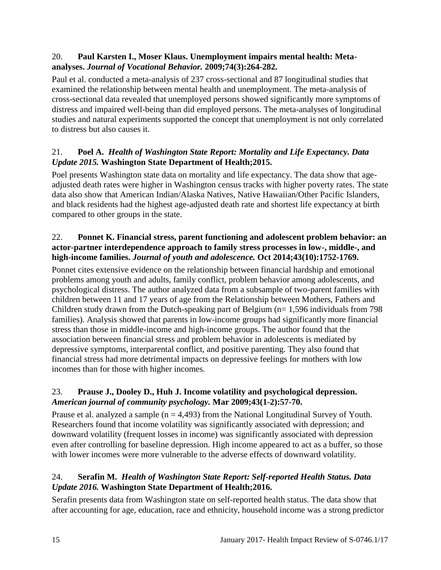#### 20. **Paul Karsten I., Moser Klaus. Unemployment impairs mental health: Metaanalyses.** *Journal of Vocational Behavior.* **2009;74(3):264-282.**

Paul et al. conducted a meta-analysis of 237 cross-sectional and 87 longitudinal studies that examined the relationship between mental health and unemployment. The meta-analysis of cross-sectional data revealed that unemployed persons showed significantly more symptoms of distress and impaired well-being than did employed persons. The meta-analyses of longitudinal studies and natural experiments supported the concept that unemployment is not only correlated to distress but also causes it.

## 21. **Poel A.** *Health of Washington State Report: Mortality and Life Expectancy. Data Update 2015.* **Washington State Department of Health;2015.**

Poel presents Washington state data on mortality and life expectancy. The data show that ageadjusted death rates were higher in Washington census tracks with higher poverty rates. The state data also show that American Indian/Alaska Natives, Native Hawaiian/Other Pacific Islanders, and black residents had the highest age-adjusted death rate and shortest life expectancy at birth compared to other groups in the state.

## 22. **Ponnet K. Financial stress, parent functioning and adolescent problem behavior: an actor-partner interdependence approach to family stress processes in low-, middle-, and high-income families.** *Journal of youth and adolescence.* **Oct 2014;43(10):1752-1769.**

Ponnet cites extensive evidence on the relationship between financial hardship and emotional problems among youth and adults, family conflict, problem behavior among adolescents, and psychological distress. The author analyzed data from a subsample of two-parent families with children between 11 and 17 years of age from the Relationship between Mothers, Fathers and Children study drawn from the Dutch-speaking part of Belgium ( $n= 1,596$  individuals from 798 families). Analysis showed that parents in low-income groups had significantly more financial stress than those in middle-income and high-income groups. The author found that the association between financial stress and problem behavior in adolescents is mediated by depressive symptoms, interparental conflict, and positive parenting. They also found that financial stress had more detrimental impacts on depressive feelings for mothers with low incomes than for those with higher incomes.

## 23. **Prause J., Dooley D., Huh J. Income volatility and psychological depression.**  *American journal of community psychology.* **Mar 2009;43(1-2):57-70.**

Prause et al. analyzed a sample ( $n = 4,493$ ) from the National Longitudinal Survey of Youth. Researchers found that income volatility was significantly associated with depression; and downward volatility (frequent losses in income) was significantly associated with depression even after controlling for baseline depression. High income appeared to act as a buffer, so those with lower incomes were more vulnerable to the adverse effects of downward volatility.

## 24. **Serafin M.** *Health of Washington State Report: Self-reported Health Status. Data Update 2016.* **Washington State Department of Health;2016.**

Serafin presents data from Washington state on self-reported health status. The data show that after accounting for age, education, race and ethnicity, household income was a strong predictor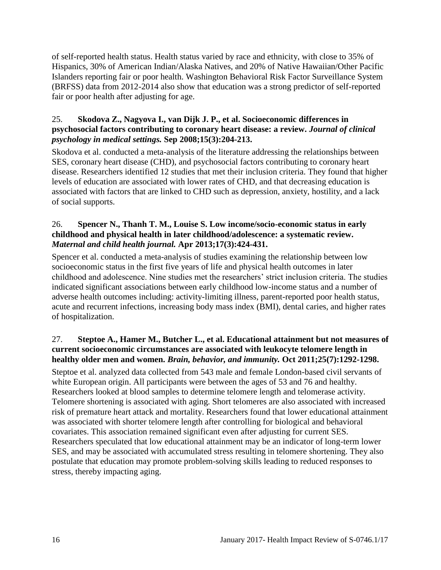of self-reported health status. Health status varied by race and ethnicity, with close to 35% of Hispanics, 30% of American Indian/Alaska Natives, and 20% of Native Hawaiian/Other Pacific Islanders reporting fair or poor health. Washington Behavioral Risk Factor Surveillance System (BRFSS) data from 2012-2014 also show that education was a strong predictor of self-reported fair or poor health after adjusting for age.

#### 25. **Skodova Z., Nagyova I., van Dijk J. P., et al. Socioeconomic differences in psychosocial factors contributing to coronary heart disease: a review.** *Journal of clinical psychology in medical settings.* **Sep 2008;15(3):204-213.**

Skodova et al. conducted a meta-analysis of the literature addressing the relationships between SES, coronary heart disease (CHD), and psychosocial factors contributing to coronary heart disease. Researchers identified 12 studies that met their inclusion criteria. They found that higher levels of education are associated with lower rates of CHD, and that decreasing education is associated with factors that are linked to CHD such as depression, anxiety, hostility, and a lack of social supports.

#### 26. **Spencer N., Thanh T. M., Louise S. Low income/socio-economic status in early childhood and physical health in later childhood/adolescence: a systematic review.**  *Maternal and child health journal.* **Apr 2013;17(3):424-431.**

Spencer et al. conducted a meta-analysis of studies examining the relationship between low socioeconomic status in the first five years of life and physical health outcomes in later childhood and adolescence. Nine studies met the researchers' strict inclusion criteria. The studies indicated significant associations between early childhood low-income status and a number of adverse health outcomes including: activity-limiting illness, parent-reported poor health status, acute and recurrent infections, increasing body mass index (BMI), dental caries, and higher rates of hospitalization.

#### 27. **Steptoe A., Hamer M., Butcher L., et al. Educational attainment but not measures of current socioeconomic circumstances are associated with leukocyte telomere length in healthy older men and women.** *Brain, behavior, and immunity.* **Oct 2011;25(7):1292-1298.**

Steptoe et al. analyzed data collected from 543 male and female London-based civil servants of white European origin. All participants were between the ages of 53 and 76 and healthy. Researchers looked at blood samples to determine telomere length and telomerase activity. Telomere shortening is associated with aging. Short telomeres are also associated with increased risk of premature heart attack and mortality. Researchers found that lower educational attainment was associated with shorter telomere length after controlling for biological and behavioral covariates. This association remained significant even after adjusting for current SES. Researchers speculated that low educational attainment may be an indicator of long-term lower SES, and may be associated with accumulated stress resulting in telomere shortening. They also postulate that education may promote problem-solving skills leading to reduced responses to stress, thereby impacting aging.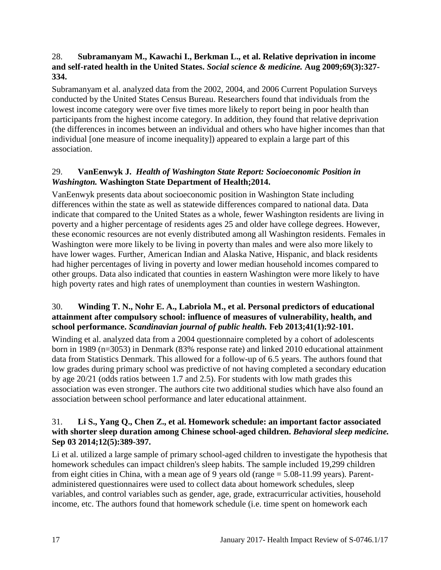#### 28. **Subramanyam M., Kawachi I., Berkman L., et al. Relative deprivation in income and self-rated health in the United States.** *Social science & medicine.* **Aug 2009;69(3):327- 334.**

Subramanyam et al. analyzed data from the 2002, 2004, and 2006 Current Population Surveys conducted by the United States Census Bureau. Researchers found that individuals from the lowest income category were over five times more likely to report being in poor health than participants from the highest income category. In addition, they found that relative deprivation (the differences in incomes between an individual and others who have higher incomes than that individual [one measure of income inequality]) appeared to explain a large part of this association.

#### 29. **VanEenwyk J.** *Health of Washington State Report: Socioeconomic Position in Washington.* **Washington State Department of Health;2014.**

VanEenwyk presents data about socioeconomic position in Washington State including differences within the state as well as statewide differences compared to national data. Data indicate that compared to the United States as a whole, fewer Washington residents are living in poverty and a higher percentage of residents ages 25 and older have college degrees. However, these economic resources are not evenly distributed among all Washington residents. Females in Washington were more likely to be living in poverty than males and were also more likely to have lower wages. Further, American Indian and Alaska Native, Hispanic, and black residents had higher percentages of living in poverty and lower median household incomes compared to other groups. Data also indicated that counties in eastern Washington were more likely to have high poverty rates and high rates of unemployment than counties in western Washington.

## 30. **Winding T. N., Nohr E. A., Labriola M., et al. Personal predictors of educational attainment after compulsory school: influence of measures of vulnerability, health, and school performance.** *Scandinavian journal of public health.* **Feb 2013;41(1):92-101.**

Winding et al. analyzed data from a 2004 questionnaire completed by a cohort of adolescents born in 1989 (n=3053) in Denmark (83% response rate) and linked 2010 educational attainment data from Statistics Denmark. This allowed for a follow-up of 6.5 years. The authors found that low grades during primary school was predictive of not having completed a secondary education by age 20/21 (odds ratios between 1.7 and 2.5). For students with low math grades this association was even stronger. The authors cite two additional studies which have also found an association between school performance and later educational attainment.

#### 31. **Li S., Yang Q., Chen Z., et al. Homework schedule: an important factor associated with shorter sleep duration among Chinese school-aged children.** *Behavioral sleep medicine.*  **Sep 03 2014;12(5):389-397.**

Li et al. utilized a large sample of primary school-aged children to investigate the hypothesis that homework schedules can impact children's sleep habits. The sample included 19,299 children from eight cities in China, with a mean age of 9 years old (range = 5.08-11.99 years). Parentadministered questionnaires were used to collect data about homework schedules, sleep variables, and control variables such as gender, age, grade, extracurricular activities, household income, etc. The authors found that homework schedule (i.e. time spent on homework each